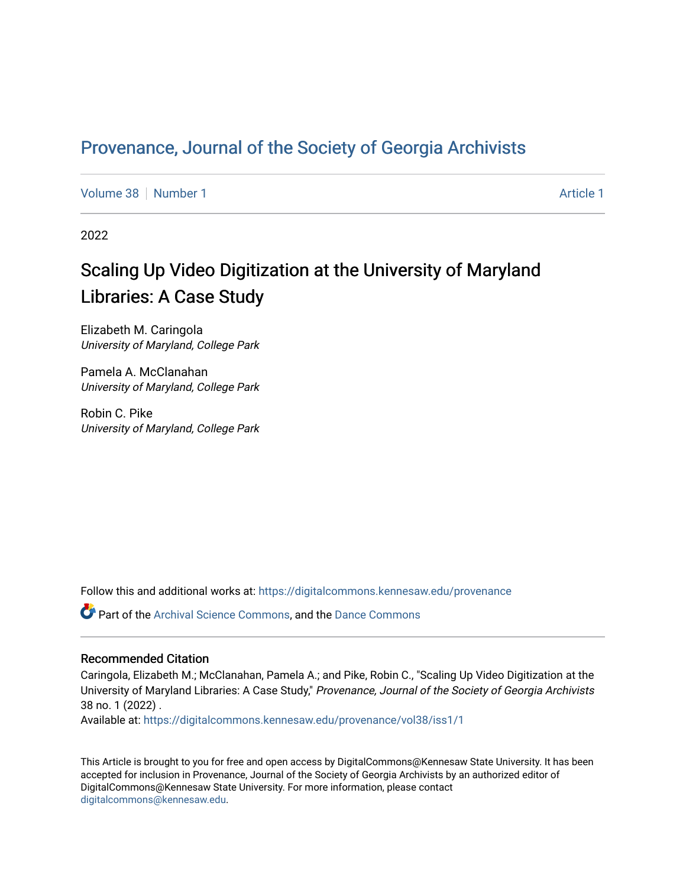# Provenance, Journal of the Society of Georgia Archivists

[Volume 38](https://digitalcommons.kennesaw.edu/provenance/vol38) [Number 1](https://digitalcommons.kennesaw.edu/provenance/vol38/iss1) [Article 1](https://digitalcommons.kennesaw.edu/provenance/vol38/iss1/1) Article 1 Article 1 Article 1 Article 1 Article 1 Article 1

2022

# Scaling Up Video Digitization at the University of Maryland Libraries: A Case Study

Elizabeth M. Caringola University of Maryland, College Park

Pamela A. McClanahan University of Maryland, College Park

Robin C. Pike University of Maryland, College Park

Follow this and additional works at: [https://digitalcommons.kennesaw.edu/provenance](https://digitalcommons.kennesaw.edu/provenance?utm_source=digitalcommons.kennesaw.edu%2Fprovenance%2Fvol38%2Fiss1%2F1&utm_medium=PDF&utm_campaign=PDFCoverPages) 

Part of the [Archival Science Commons,](http://network.bepress.com/hgg/discipline/1021?utm_source=digitalcommons.kennesaw.edu%2Fprovenance%2Fvol38%2Fiss1%2F1&utm_medium=PDF&utm_campaign=PDFCoverPages) and the [Dance Commons](http://network.bepress.com/hgg/discipline/554?utm_source=digitalcommons.kennesaw.edu%2Fprovenance%2Fvol38%2Fiss1%2F1&utm_medium=PDF&utm_campaign=PDFCoverPages) 

#### Recommended Citation

Caringola, Elizabeth M.; McClanahan, Pamela A.; and Pike, Robin C., "Scaling Up Video Digitization at the University of Maryland Libraries: A Case Study," Provenance, Journal of the Society of Georgia Archivists 38 no. 1 (2022) .

Available at: [https://digitalcommons.kennesaw.edu/provenance/vol38/iss1/1](https://digitalcommons.kennesaw.edu/provenance/vol38/iss1/1?utm_source=digitalcommons.kennesaw.edu%2Fprovenance%2Fvol38%2Fiss1%2F1&utm_medium=PDF&utm_campaign=PDFCoverPages) 

This Article is brought to you for free and open access by DigitalCommons@Kennesaw State University. It has been accepted for inclusion in Provenance, Journal of the Society of Georgia Archivists by an authorized editor of DigitalCommons@Kennesaw State University. For more information, please contact [digitalcommons@kennesaw.edu.](mailto:digitalcommons@kennesaw.edu)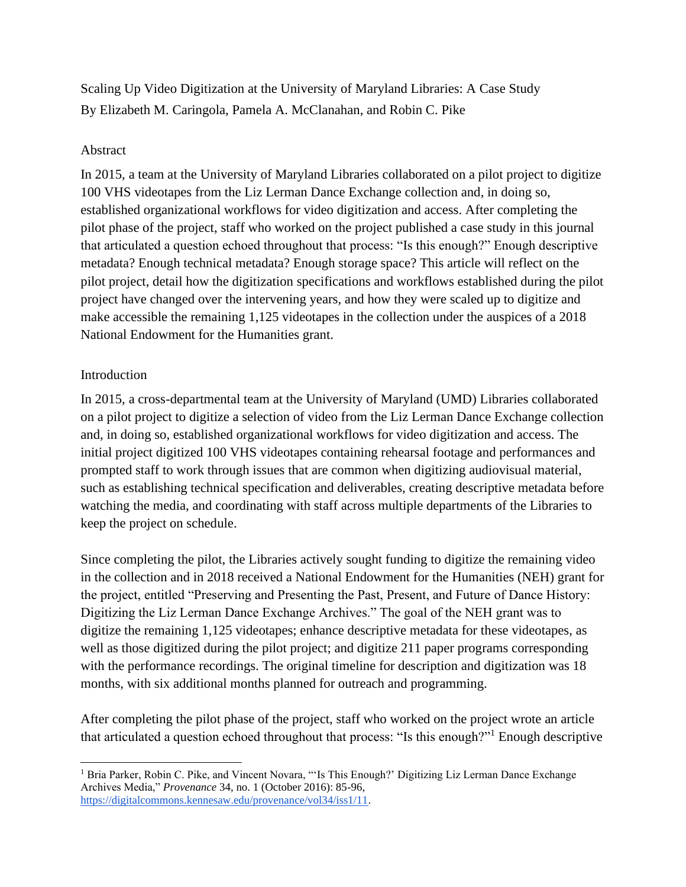Scaling Up Video Digitization at the University of Maryland Libraries: A Case Study By Elizabeth M. Caringola, Pamela A. McClanahan, and Robin C. Pike

#### Abstract

In 2015, a team at the University of Maryland Libraries collaborated on a pilot project to digitize 100 VHS videotapes from the Liz Lerman Dance Exchange collection and, in doing so, established organizational workflows for video digitization and access. After completing the pilot phase of the project, staff who worked on the project published a case study in this journal that articulated a question echoed throughout that process: "Is this enough?" Enough descriptive metadata? Enough technical metadata? Enough storage space? This article will reflect on the pilot project, detail how the digitization specifications and workflows established during the pilot project have changed over the intervening years, and how they were scaled up to digitize and make accessible the remaining 1,125 videotapes in the collection under the auspices of a 2018 National Endowment for the Humanities grant.

#### Introduction

In 2015, a cross-departmental team at the University of Maryland (UMD) Libraries collaborated on a pilot project to digitize a selection of video from the Liz Lerman Dance Exchange collection and, in doing so, established organizational workflows for video digitization and access. The initial project digitized 100 VHS videotapes containing rehearsal footage and performances and prompted staff to work through issues that are common when digitizing audiovisual material, such as establishing technical specification and deliverables, creating descriptive metadata before watching the media, and coordinating with staff across multiple departments of the Libraries to keep the project on schedule.

Since completing the pilot, the Libraries actively sought funding to digitize the remaining video in the collection and in 2018 received a National Endowment for the Humanities (NEH) grant for the project, entitled "Preserving and Presenting the Past, Present, and Future of Dance History: Digitizing the Liz Lerman Dance Exchange Archives." The goal of the NEH grant was to digitize the remaining 1,125 videotapes; enhance descriptive metadata for these videotapes, as well as those digitized during the pilot project; and digitize 211 paper programs corresponding with the performance recordings. The original timeline for description and digitization was 18 months, with six additional months planned for outreach and programming.

After completing the pilot phase of the project, staff who worked on the project wrote an article that articulated a question echoed throughout that process: "Is this enough?"<sup>1</sup> Enough descriptive

<sup>&</sup>lt;sup>1</sup> Bria Parker, Robin C. Pike, and Vincent Novara, "'Is This Enough?' Digitizing Liz Lerman Dance Exchange Archives Media," *Provenance* 34, no. 1 (October 2016): 85-96, [https://digitalcommons.kennesaw.edu/provenance/vol34/iss1/11.](https://digitalcommons.kennesaw.edu/provenance/vol34/iss1/11)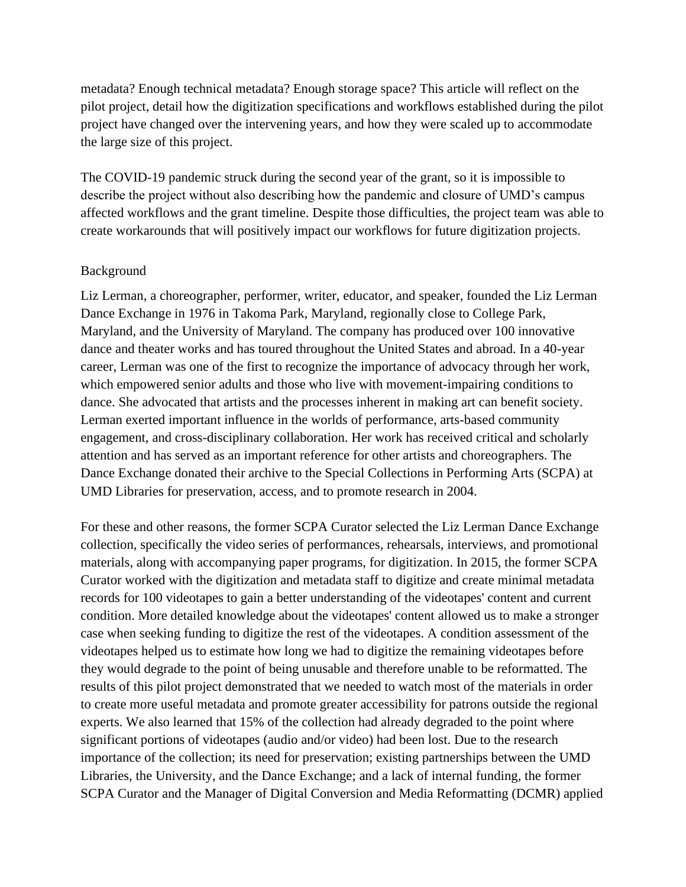metadata? Enough technical metadata? Enough storage space? This article will reflect on the pilot project, detail how the digitization specifications and workflows established during the pilot project have changed over the intervening years, and how they were scaled up to accommodate the large size of this project.

The COVID-19 pandemic struck during the second year of the grant, so it is impossible to describe the project without also describing how the pandemic and closure of UMD's campus affected workflows and the grant timeline. Despite those difficulties, the project team was able to create workarounds that will positively impact our workflows for future digitization projects.

#### Background

Liz Lerman, a choreographer, performer, writer, educator, and speaker, founded the Liz Lerman Dance Exchange in 1976 in Takoma Park, Maryland, regionally close to College Park, Maryland, and the University of Maryland. The company has produced over 100 innovative dance and theater works and has toured throughout the United States and abroad. In a 40-year career, Lerman was one of the first to recognize the importance of advocacy through her work, which empowered senior adults and those who live with movement-impairing conditions to dance. She advocated that artists and the processes inherent in making art can benefit society. Lerman exerted important influence in the worlds of performance, arts-based community engagement, and cross-disciplinary collaboration. Her work has received critical and scholarly attention and has served as an important reference for other artists and choreographers. The Dance Exchange donated their archive to the Special Collections in Performing Arts (SCPA) at UMD Libraries for preservation, access, and to promote research in 2004.

For these and other reasons, the former SCPA Curator selected the Liz Lerman Dance Exchange collection, specifically the video series of performances, rehearsals, interviews, and promotional materials, along with accompanying paper programs, for digitization. In 2015, the former SCPA Curator worked with the digitization and metadata staff to digitize and create minimal metadata records for 100 videotapes to gain a better understanding of the videotapes' content and current condition. More detailed knowledge about the videotapes' content allowed us to make a stronger case when seeking funding to digitize the rest of the videotapes. A condition assessment of the videotapes helped us to estimate how long we had to digitize the remaining videotapes before they would degrade to the point of being unusable and therefore unable to be reformatted. The results of this pilot project demonstrated that we needed to watch most of the materials in order to create more useful metadata and promote greater accessibility for patrons outside the regional experts. We also learned that 15% of the collection had already degraded to the point where significant portions of videotapes (audio and/or video) had been lost. Due to the research importance of the collection; its need for preservation; existing partnerships between the UMD Libraries, the University, and the Dance Exchange; and a lack of internal funding, the former SCPA Curator and the Manager of Digital Conversion and Media Reformatting (DCMR) applied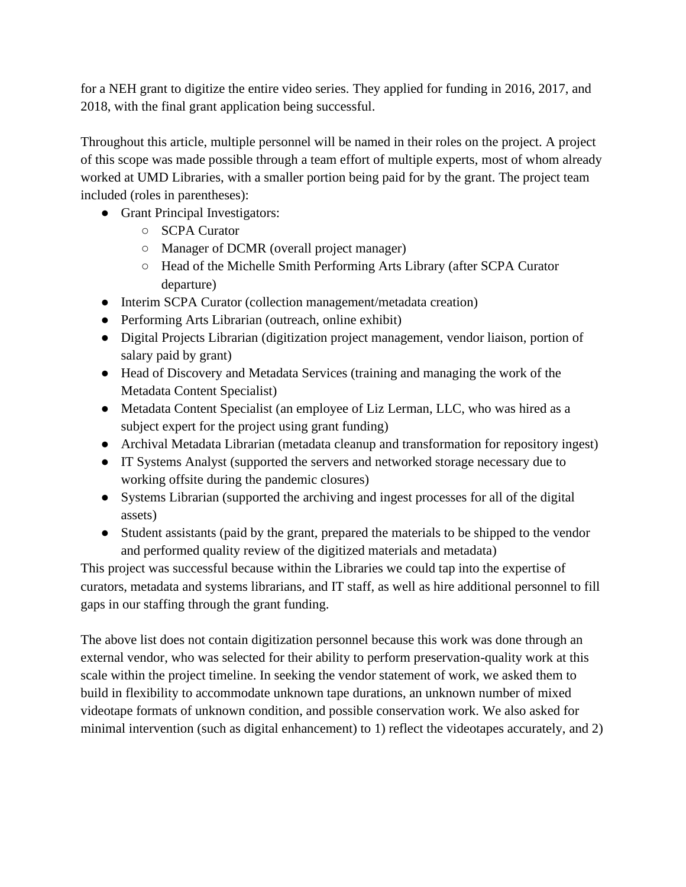for a NEH grant to digitize the entire video series. They applied for funding in 2016, 2017, and 2018, with the final grant application being successful.

Throughout this article, multiple personnel will be named in their roles on the project. A project of this scope was made possible through a team effort of multiple experts, most of whom already worked at UMD Libraries, with a smaller portion being paid for by the grant. The project team included (roles in parentheses):

- Grant Principal Investigators:
	- SCPA Curator
	- Manager of DCMR (overall project manager)
	- Head of the Michelle Smith Performing Arts Library (after SCPA Curator departure)
- Interim SCPA Curator (collection management/metadata creation)
- Performing Arts Librarian (outreach, online exhibit)
- Digital Projects Librarian (digitization project management, vendor liaison, portion of salary paid by grant)
- Head of Discovery and Metadata Services (training and managing the work of the Metadata Content Specialist)
- Metadata Content Specialist (an employee of Liz Lerman, LLC, who was hired as a subject expert for the project using grant funding)
- Archival Metadata Librarian (metadata cleanup and transformation for repository ingest)
- IT Systems Analyst (supported the servers and networked storage necessary due to working offsite during the pandemic closures)
- Systems Librarian (supported the archiving and ingest processes for all of the digital assets)
- Student assistants (paid by the grant, prepared the materials to be shipped to the vendor and performed quality review of the digitized materials and metadata)

This project was successful because within the Libraries we could tap into the expertise of curators, metadata and systems librarians, and IT staff, as well as hire additional personnel to fill gaps in our staffing through the grant funding.

The above list does not contain digitization personnel because this work was done through an external vendor, who was selected for their ability to perform preservation-quality work at this scale within the project timeline. In seeking the vendor statement of work, we asked them to build in flexibility to accommodate unknown tape durations, an unknown number of mixed videotape formats of unknown condition, and possible conservation work. We also asked for minimal intervention (such as digital enhancement) to 1) reflect the videotapes accurately, and 2)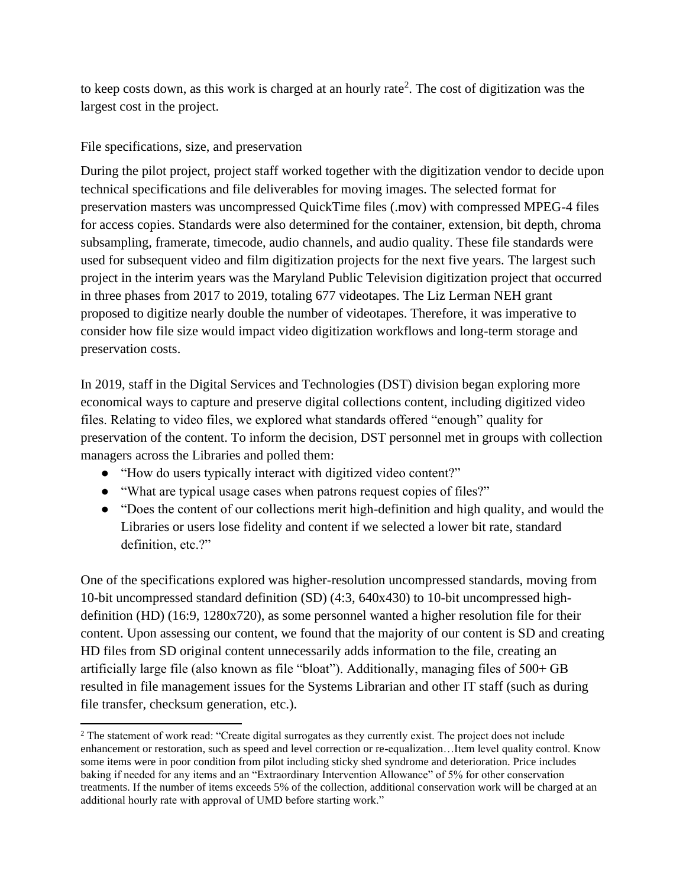to keep costs down, as this work is charged at an hourly rate<sup>2</sup>. The cost of digitization was the largest cost in the project.

# File specifications, size, and preservation

During the pilot project, project staff worked together with the digitization vendor to decide upon technical specifications and file deliverables for moving images. The selected format for preservation masters was uncompressed QuickTime files (.mov) with compressed MPEG-4 files for access copies. Standards were also determined for the container, extension, bit depth, chroma subsampling, framerate, timecode, audio channels, and audio quality. These file standards were used for subsequent video and film digitization projects for the next five years. The largest such project in the interim years was the Maryland Public Television digitization project that occurred in three phases from 2017 to 2019, totaling 677 videotapes. The Liz Lerman NEH grant proposed to digitize nearly double the number of videotapes. Therefore, it was imperative to consider how file size would impact video digitization workflows and long-term storage and preservation costs.

In 2019, staff in the Digital Services and Technologies (DST) division began exploring more economical ways to capture and preserve digital collections content, including digitized video files. Relating to video files, we explored what standards offered "enough" quality for preservation of the content. To inform the decision, DST personnel met in groups with collection managers across the Libraries and polled them:

- "How do users typically interact with digitized video content?"
- "What are typical usage cases when patrons request copies of files?"
- "Does the content of our collections merit high-definition and high quality, and would the Libraries or users lose fidelity and content if we selected a lower bit rate, standard definition, etc.?"

One of the specifications explored was higher-resolution uncompressed standards, moving from 10-bit uncompressed standard definition (SD) (4:3, 640x430) to 10-bit uncompressed highdefinition (HD) (16:9, 1280x720), as some personnel wanted a higher resolution file for their content. Upon assessing our content, we found that the majority of our content is SD and creating HD files from SD original content unnecessarily adds information to the file, creating an artificially large file (also known as file "bloat"). Additionally, managing files of 500+ GB resulted in file management issues for the Systems Librarian and other IT staff (such as during file transfer, checksum generation, etc.).

<sup>&</sup>lt;sup>2</sup> The statement of work read: "Create digital surrogates as they currently exist. The project does not include enhancement or restoration, such as speed and level correction or re-equalization…Item level quality control. Know some items were in poor condition from pilot including sticky shed syndrome and deterioration. Price includes baking if needed for any items and an "Extraordinary Intervention Allowance" of 5% for other conservation treatments. If the number of items exceeds 5% of the collection, additional conservation work will be charged at an additional hourly rate with approval of UMD before starting work."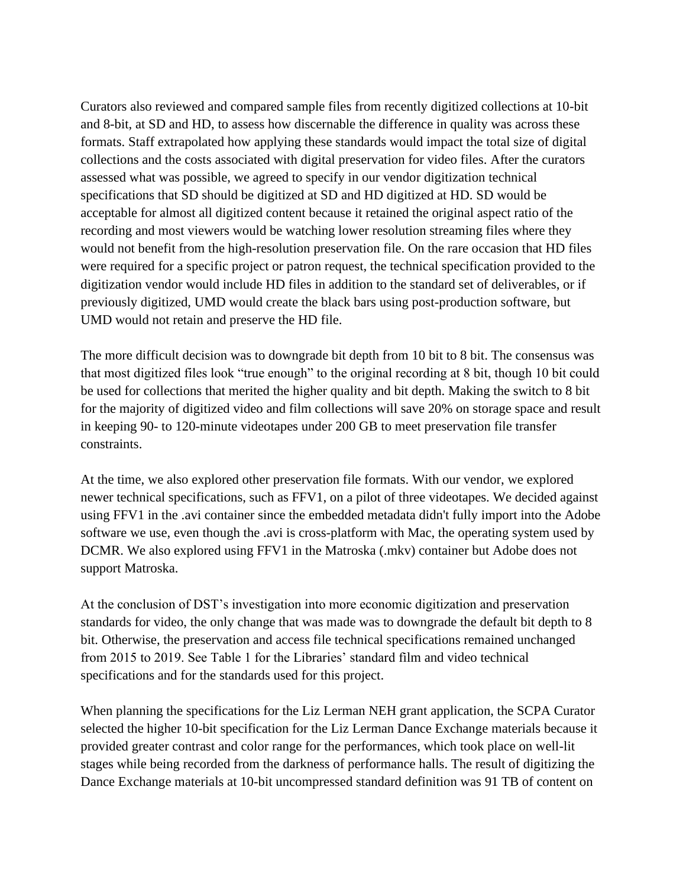Curators also reviewed and compared sample files from recently digitized collections at 10-bit and 8-bit, at SD and HD, to assess how discernable the difference in quality was across these formats. Staff extrapolated how applying these standards would impact the total size of digital collections and the costs associated with digital preservation for video files. After the curators assessed what was possible, we agreed to specify in our vendor digitization technical specifications that SD should be digitized at SD and HD digitized at HD. SD would be acceptable for almost all digitized content because it retained the original aspect ratio of the recording and most viewers would be watching lower resolution streaming files where they would not benefit from the high-resolution preservation file. On the rare occasion that HD files were required for a specific project or patron request, the technical specification provided to the digitization vendor would include HD files in addition to the standard set of deliverables, or if previously digitized, UMD would create the black bars using post-production software, but UMD would not retain and preserve the HD file.

The more difficult decision was to downgrade bit depth from 10 bit to 8 bit. The consensus was that most digitized files look "true enough" to the original recording at 8 bit, though 10 bit could be used for collections that merited the higher quality and bit depth. Making the switch to 8 bit for the majority of digitized video and film collections will save 20% on storage space and result in keeping 90- to 120-minute videotapes under 200 GB to meet preservation file transfer constraints.

At the time, we also explored other preservation file formats. With our vendor, we explored newer technical specifications, such as FFV1, on a pilot of three videotapes. We decided against using FFV1 in the .avi container since the embedded metadata didn't fully import into the Adobe software we use, even though the .avi is cross-platform with Mac, the operating system used by DCMR. We also explored using FFV1 in the Matroska (.mkv) container but Adobe does not support Matroska.

At the conclusion of DST's investigation into more economic digitization and preservation standards for video, the only change that was made was to downgrade the default bit depth to 8 bit. Otherwise, the preservation and access file technical specifications remained unchanged from 2015 to 2019. See Table 1 for the Libraries' standard film and video technical specifications and for the standards used for this project.

When planning the specifications for the Liz Lerman NEH grant application, the SCPA Curator selected the higher 10-bit specification for the Liz Lerman Dance Exchange materials because it provided greater contrast and color range for the performances, which took place on well-lit stages while being recorded from the darkness of performance halls. The result of digitizing the Dance Exchange materials at 10-bit uncompressed standard definition was 91 TB of content on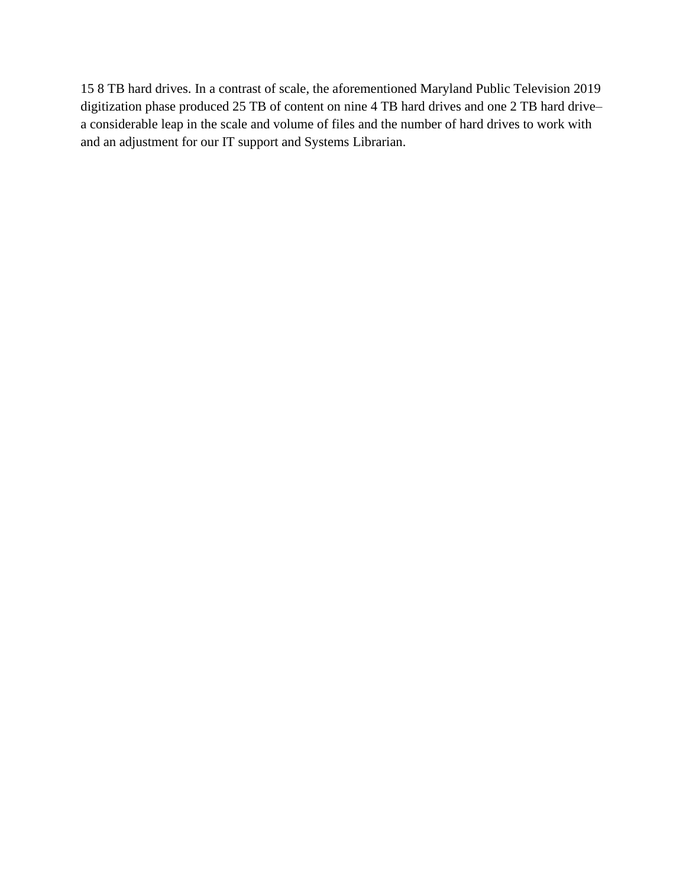15 8 TB hard drives. In a contrast of scale, the aforementioned Maryland Public Television 2019 digitization phase produced 25 TB of content on nine 4 TB hard drives and one 2 TB hard drive– a considerable leap in the scale and volume of files and the number of hard drives to work with and an adjustment for our IT support and Systems Librarian.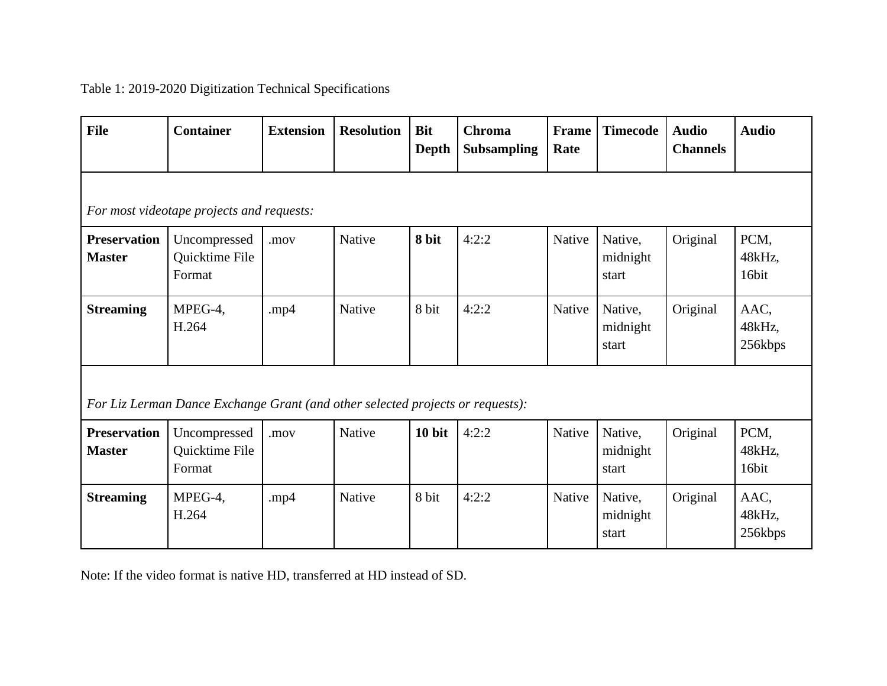# Table 1: 2019-2020 Digitization Technical Specifications

| <b>File</b>                                                                    | <b>Container</b>                         | <b>Extension</b> | <b>Resolution</b> | <b>Bit</b><br><b>Depth</b> | <b>Chroma</b><br><b>Subsampling</b> | Frame<br>Rate | <b>Timecode</b>              | <b>Audio</b><br><b>Channels</b> | <b>Audio</b>              |  |  |
|--------------------------------------------------------------------------------|------------------------------------------|------------------|-------------------|----------------------------|-------------------------------------|---------------|------------------------------|---------------------------------|---------------------------|--|--|
| For most videotape projects and requests:                                      |                                          |                  |                   |                            |                                     |               |                              |                                 |                           |  |  |
| <b>Preservation</b><br><b>Master</b>                                           | Uncompressed<br>Quicktime File<br>Format | .mov             | Native            | 8 bit                      | 4:2:2                               | Native        | Native,<br>midnight<br>start | Original                        | PCM,<br>48kHz,<br>16bit   |  |  |
| <b>Streaming</b>                                                               | MPEG-4,<br>H.264                         | .mp $4$          | Native            | 8 bit                      | 4:2:2                               | Native        | Native,<br>midnight<br>start | Original                        | AAC,<br>48kHz,<br>256kbps |  |  |
| For Liz Lerman Dance Exchange Grant (and other selected projects or requests): |                                          |                  |                   |                            |                                     |               |                              |                                 |                           |  |  |
| <b>Preservation</b><br><b>Master</b>                                           | Uncompressed<br>Quicktime File<br>Format | .mov             | Native            | 10 bit                     | 4:2:2                               | Native        | Native,<br>midnight<br>start | Original                        | PCM,<br>48kHz,<br>16bit   |  |  |
| <b>Streaming</b>                                                               | MPEG-4,<br>H.264                         | .mp $4$          | Native            | 8 bit                      | 4:2:2                               | Native        | Native,<br>midnight<br>start | Original                        | AAC,<br>48kHz,<br>256kbps |  |  |

Note: If the video format is native HD, transferred at HD instead of SD.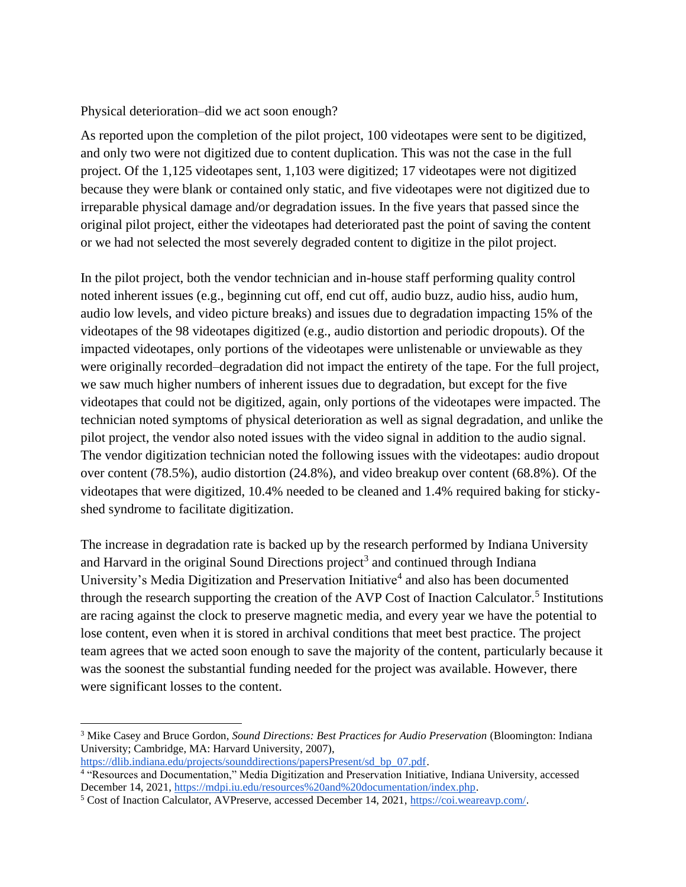Physical deterioration–did we act soon enough?

As reported upon the completion of the pilot project, 100 videotapes were sent to be digitized, and only two were not digitized due to content duplication. This was not the case in the full project. Of the 1,125 videotapes sent, 1,103 were digitized; 17 videotapes were not digitized because they were blank or contained only static, and five videotapes were not digitized due to irreparable physical damage and/or degradation issues. In the five years that passed since the original pilot project, either the videotapes had deteriorated past the point of saving the content or we had not selected the most severely degraded content to digitize in the pilot project.

In the pilot project, both the vendor technician and in-house staff performing quality control noted inherent issues (e.g., beginning cut off, end cut off, audio buzz, audio hiss, audio hum, audio low levels, and video picture breaks) and issues due to degradation impacting 15% of the videotapes of the 98 videotapes digitized (e.g., audio distortion and periodic dropouts). Of the impacted videotapes, only portions of the videotapes were unlistenable or unviewable as they were originally recorded–degradation did not impact the entirety of the tape. For the full project, we saw much higher numbers of inherent issues due to degradation, but except for the five videotapes that could not be digitized, again, only portions of the videotapes were impacted. The technician noted symptoms of physical deterioration as well as signal degradation, and unlike the pilot project, the vendor also noted issues with the video signal in addition to the audio signal. The vendor digitization technician noted the following issues with the videotapes: audio dropout over content (78.5%), audio distortion (24.8%), and video breakup over content (68.8%). Of the videotapes that were digitized, 10.4% needed to be cleaned and 1.4% required baking for stickyshed syndrome to facilitate digitization.

The increase in degradation rate is backed up by the research performed by Indiana University and Harvard in the original Sound Directions project<sup>3</sup> and continued through Indiana University's Media Digitization and Preservation Initiative<sup>4</sup> and also has been documented through the research supporting the creation of the AVP Cost of Inaction Calculator.<sup>5</sup> Institutions are racing against the clock to preserve magnetic media, and every year we have the potential to lose content, even when it is stored in archival conditions that meet best practice. The project team agrees that we acted soon enough to save the majority of the content, particularly because it was the soonest the substantial funding needed for the project was available. However, there were significant losses to the content.

<sup>3</sup> Mike Casey and Bruce Gordon, *Sound Directions: Best Practices for Audio Preservation* (Bloomington: Indiana University; Cambridge, MA: Harvard University, 2007), [https://dlib.indiana.edu/projects/sounddirections/papersPresent/sd\\_bp\\_07.pdf.](https://dlib.indiana.edu/projects/sounddirections/papersPresent/sd_bp_07.pdf)

<sup>4</sup> "Resources and Documentation," Media Digitization and Preservation Initiative, Indiana University, accessed December 14, 2021[, https://mdpi.iu.edu/resources%20and%20documentation/index.php.](https://mdpi.iu.edu/resources%20and%20documentation/index.php)

<sup>5</sup> Cost of Inaction Calculator, AVPreserve, accessed December 14, 2021,<https://coi.weareavp.com/>.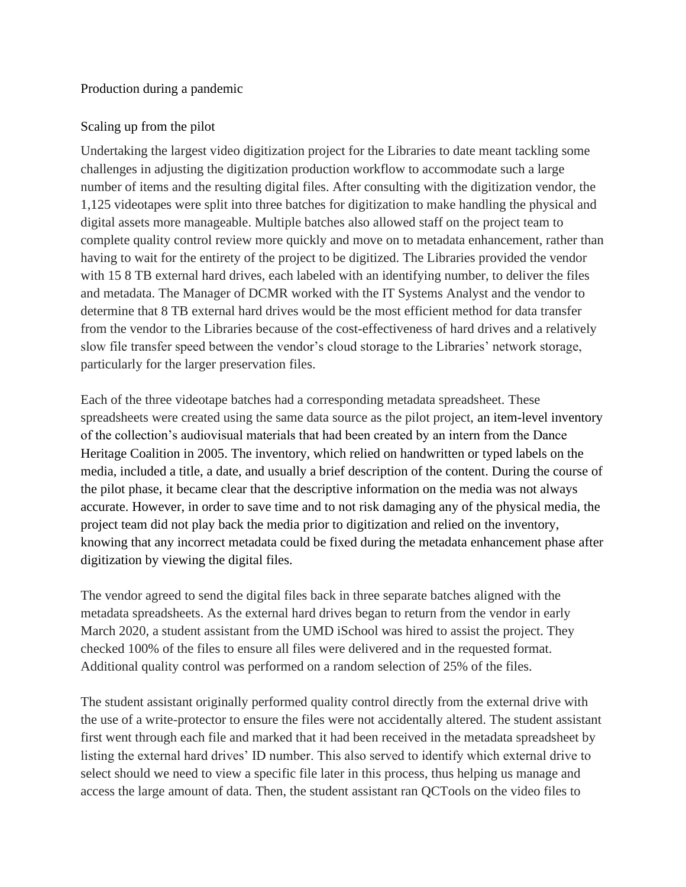#### Production during a pandemic

#### Scaling up from the pilot

Undertaking the largest video digitization project for the Libraries to date meant tackling some challenges in adjusting the digitization production workflow to accommodate such a large number of items and the resulting digital files. After consulting with the digitization vendor, the 1,125 videotapes were split into three batches for digitization to make handling the physical and digital assets more manageable. Multiple batches also allowed staff on the project team to complete quality control review more quickly and move on to metadata enhancement, rather than having to wait for the entirety of the project to be digitized. The Libraries provided the vendor with 15 8 TB external hard drives, each labeled with an identifying number, to deliver the files and metadata. The Manager of DCMR worked with the IT Systems Analyst and the vendor to determine that 8 TB external hard drives would be the most efficient method for data transfer from the vendor to the Libraries because of the cost-effectiveness of hard drives and a relatively slow file transfer speed between the vendor's cloud storage to the Libraries' network storage, particularly for the larger preservation files.

Each of the three videotape batches had a corresponding metadata spreadsheet. These spreadsheets were created using the same data source as the pilot project, an item-level inventory of the collection's audiovisual materials that had been created by an intern from the Dance Heritage Coalition in 2005. The inventory, which relied on handwritten or typed labels on the media, included a title, a date, and usually a brief description of the content. During the course of the pilot phase, it became clear that the descriptive information on the media was not always accurate. However, in order to save time and to not risk damaging any of the physical media, the project team did not play back the media prior to digitization and relied on the inventory, knowing that any incorrect metadata could be fixed during the metadata enhancement phase after digitization by viewing the digital files.

The vendor agreed to send the digital files back in three separate batches aligned with the metadata spreadsheets. As the external hard drives began to return from the vendor in early March 2020, a student assistant from the UMD iSchool was hired to assist the project. They checked 100% of the files to ensure all files were delivered and in the requested format. Additional quality control was performed on a random selection of 25% of the files.

The student assistant originally performed quality control directly from the external drive with the use of a write-protector to ensure the files were not accidentally altered. The student assistant first went through each file and marked that it had been received in the metadata spreadsheet by listing the external hard drives' ID number. This also served to identify which external drive to select should we need to view a specific file later in this process, thus helping us manage and access the large amount of data. Then, the student assistant ran QCTools on the video files to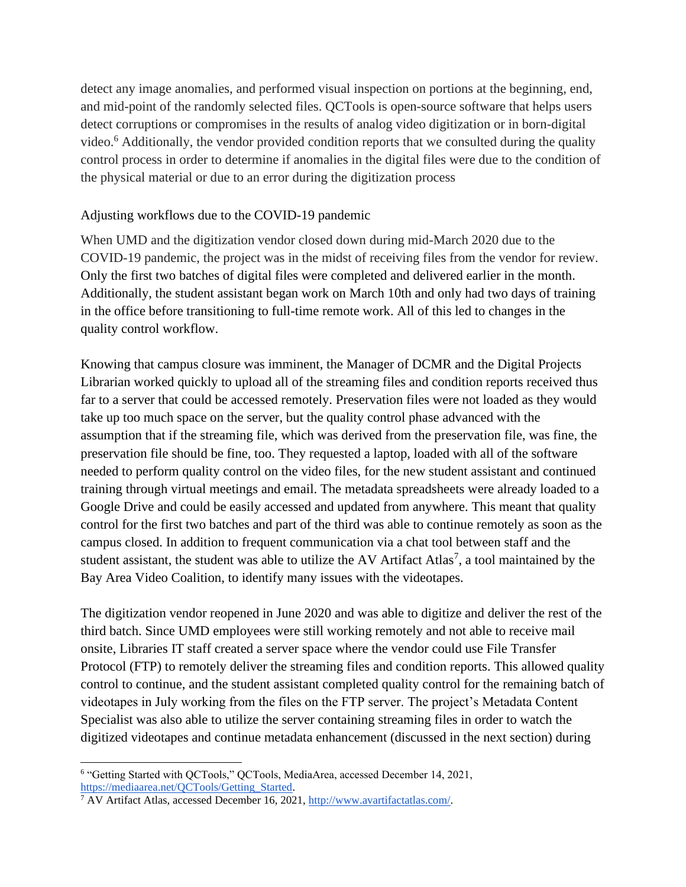detect any image anomalies, and performed visual inspection on portions at the beginning, end, and mid-point of the randomly selected files. QCTools is open-source software that helps users detect corruptions or compromises in the results of analog video digitization or in born-digital video.<sup>6</sup> Additionally, the vendor provided condition reports that we consulted during the quality control process in order to determine if anomalies in the digital files were due to the condition of the physical material or due to an error during the digitization process

#### Adjusting workflows due to the COVID-19 pandemic

When UMD and the digitization vendor closed down during mid-March 2020 due to the COVID-19 pandemic, the project was in the midst of receiving files from the vendor for review. Only the first two batches of digital files were completed and delivered earlier in the month. Additionally, the student assistant began work on March 10th and only had two days of training in the office before transitioning to full-time remote work. All of this led to changes in the quality control workflow.

Knowing that campus closure was imminent, the Manager of DCMR and the Digital Projects Librarian worked quickly to upload all of the streaming files and condition reports received thus far to a server that could be accessed remotely. Preservation files were not loaded as they would take up too much space on the server, but the quality control phase advanced with the assumption that if the streaming file, which was derived from the preservation file, was fine, the preservation file should be fine, too. They requested a laptop, loaded with all of the software needed to perform quality control on the video files, for the new student assistant and continued training through virtual meetings and email. The metadata spreadsheets were already loaded to a Google Drive and could be easily accessed and updated from anywhere. This meant that quality control for the first two batches and part of the third was able to continue remotely as soon as the campus closed. In addition to frequent communication via a chat tool between staff and the student assistant, the student was able to utilize the AV Artifact Atlas<sup>7</sup>, a tool maintained by the Bay Area Video Coalition, to identify many issues with the videotapes.

The digitization vendor reopened in June 2020 and was able to digitize and deliver the rest of the third batch. Since UMD employees were still working remotely and not able to receive mail onsite, Libraries IT staff created a server space where the vendor could use File Transfer Protocol (FTP) to remotely deliver the streaming files and condition reports. This allowed quality control to continue, and the student assistant completed quality control for the remaining batch of videotapes in July working from the files on the FTP server. The project's Metadata Content Specialist was also able to utilize the server containing streaming files in order to watch the digitized videotapes and continue metadata enhancement (discussed in the next section) during

<sup>6</sup> "Getting Started with QCTools," QCTools, MediaArea, accessed December 14, 2021, [https://mediaarea.net/QCTools/Getting\\_Started.](https://mediaarea.net/QCTools/Getting_Started)

<sup>7</sup> AV Artifact Atlas, accessed December 16, 2021, [http://www.avartifactatlas.com/.](http://www.avartifactatlas.com/)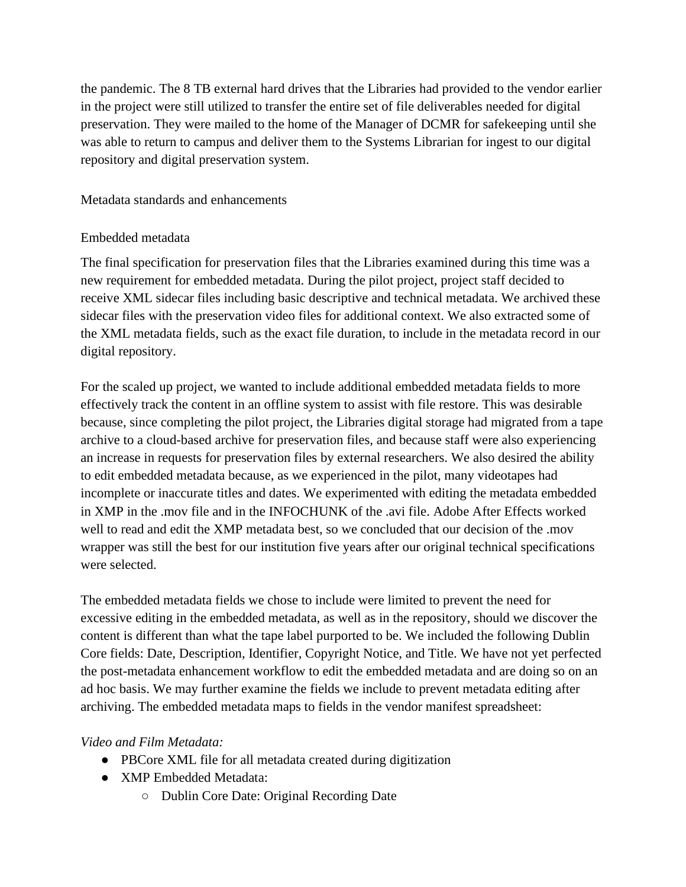the pandemic. The 8 TB external hard drives that the Libraries had provided to the vendor earlier in the project were still utilized to transfer the entire set of file deliverables needed for digital preservation. They were mailed to the home of the Manager of DCMR for safekeeping until she was able to return to campus and deliver them to the Systems Librarian for ingest to our digital repository and digital preservation system.

Metadata standards and enhancements

## Embedded metadata

The final specification for preservation files that the Libraries examined during this time was a new requirement for embedded metadata. During the pilot project, project staff decided to receive XML sidecar files including basic descriptive and technical metadata. We archived these sidecar files with the preservation video files for additional context. We also extracted some of the XML metadata fields, such as the exact file duration, to include in the metadata record in our digital repository.

For the scaled up project, we wanted to include additional embedded metadata fields to more effectively track the content in an offline system to assist with file restore. This was desirable because, since completing the pilot project, the Libraries digital storage had migrated from a tape archive to a cloud-based archive for preservation files, and because staff were also experiencing an increase in requests for preservation files by external researchers. We also desired the ability to edit embedded metadata because, as we experienced in the pilot, many videotapes had incomplete or inaccurate titles and dates. We experimented with editing the metadata embedded in XMP in the .mov file and in the INFOCHUNK of the .avi file. Adobe After Effects worked well to read and edit the XMP metadata best, so we concluded that our decision of the .mov wrapper was still the best for our institution five years after our original technical specifications were selected.

The embedded metadata fields we chose to include were limited to prevent the need for excessive editing in the embedded metadata, as well as in the repository, should we discover the content is different than what the tape label purported to be. We included the following Dublin Core fields: Date, Description, Identifier, Copyright Notice, and Title. We have not yet perfected the post-metadata enhancement workflow to edit the embedded metadata and are doing so on an ad hoc basis. We may further examine the fields we include to prevent metadata editing after archiving. The embedded metadata maps to fields in the vendor manifest spreadsheet:

## *Video and Film Metadata:*

- PBCore XML file for all metadata created during digitization
- XMP Embedded Metadata:
	- Dublin Core Date: Original Recording Date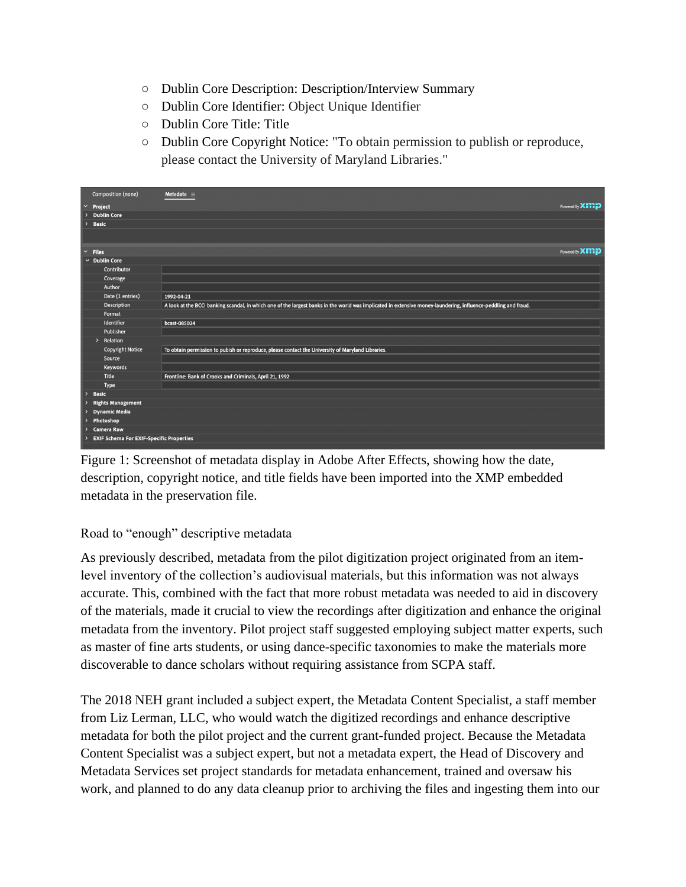- Dublin Core Description: Description/Interview Summary
- Dublin Core Identifier: Object Unique Identifier
- Dublin Core Title: Title
- Dublin Core Copyright Notice: "To obtain permission to publish or reproduce, please contact the University of Maryland Libraries."

|                    | Composition (none)                              | Metadata $\equiv$                                                                                                                                              |                |  |  |  |  |  |
|--------------------|-------------------------------------------------|----------------------------------------------------------------------------------------------------------------------------------------------------------------|----------------|--|--|--|--|--|
| $\checkmark$       | Project                                         |                                                                                                                                                                | Powered By XMP |  |  |  |  |  |
|                    | <b>Dublin Core</b>                              |                                                                                                                                                                |                |  |  |  |  |  |
| $\rightarrow$      | <b>Basic</b>                                    |                                                                                                                                                                |                |  |  |  |  |  |
|                    |                                                 |                                                                                                                                                                |                |  |  |  |  |  |
|                    |                                                 |                                                                                                                                                                |                |  |  |  |  |  |
|                    | $~\sim$ Files                                   |                                                                                                                                                                | Powered By XMP |  |  |  |  |  |
| $\vee$ Dublin Core |                                                 |                                                                                                                                                                |                |  |  |  |  |  |
|                    | Contributor                                     |                                                                                                                                                                |                |  |  |  |  |  |
|                    | Coverage                                        |                                                                                                                                                                |                |  |  |  |  |  |
|                    | Author                                          |                                                                                                                                                                |                |  |  |  |  |  |
|                    | Date (1 entries)                                | 1992-04-21                                                                                                                                                     |                |  |  |  |  |  |
|                    | <b>Description</b>                              | A look at the BCCI banking scandal, in which one of the largest banks in the world was implicated in extensive money-laundering, influence-peddling and fraud. |                |  |  |  |  |  |
|                    | Format                                          |                                                                                                                                                                |                |  |  |  |  |  |
|                    | Identifier                                      | bcast-085024                                                                                                                                                   |                |  |  |  |  |  |
|                    | Publisher                                       |                                                                                                                                                                |                |  |  |  |  |  |
|                    | Relation<br>$\,$                                |                                                                                                                                                                |                |  |  |  |  |  |
|                    | <b>Copyright Notice</b>                         | To obtain permission to pubish or reproduce, please contact the University of Maryland Libraries.                                                              |                |  |  |  |  |  |
|                    | Source                                          |                                                                                                                                                                |                |  |  |  |  |  |
|                    | Keywords                                        |                                                                                                                                                                |                |  |  |  |  |  |
|                    | Title                                           | Frontline: Bank of Crooks and Criminals, April 21, 1992                                                                                                        |                |  |  |  |  |  |
|                    | Type                                            |                                                                                                                                                                |                |  |  |  |  |  |
| $\rightarrow$      | <b>Basic</b>                                    |                                                                                                                                                                |                |  |  |  |  |  |
| 2                  | <b>Rights Management</b>                        |                                                                                                                                                                |                |  |  |  |  |  |
| $\rightarrow$      | <b>Dynamic Media</b>                            |                                                                                                                                                                |                |  |  |  |  |  |
|                    | Photoshop<br>$\overline{ }$                     |                                                                                                                                                                |                |  |  |  |  |  |
|                    | <b>Camera Raw</b>                               |                                                                                                                                                                |                |  |  |  |  |  |
|                    | <b>EXIF Schema For EXIF-Specific Properties</b> |                                                                                                                                                                |                |  |  |  |  |  |

Figure 1: Screenshot of metadata display in Adobe After Effects, showing how the date, description, copyright notice, and title fields have been imported into the XMP embedded metadata in the preservation file.

## Road to "enough" descriptive metadata

As previously described, metadata from the pilot digitization project originated from an itemlevel inventory of the collection's audiovisual materials, but this information was not always accurate. This, combined with the fact that more robust metadata was needed to aid in discovery of the materials, made it crucial to view the recordings after digitization and enhance the original metadata from the inventory. Pilot project staff suggested employing subject matter experts, such as master of fine arts students, or using dance-specific taxonomies to make the materials more discoverable to dance scholars without requiring assistance from SCPA staff.

The 2018 NEH grant included a subject expert, the Metadata Content Specialist, a staff member from Liz Lerman, LLC, who would watch the digitized recordings and enhance descriptive metadata for both the pilot project and the current grant-funded project. Because the Metadata Content Specialist was a subject expert, but not a metadata expert, the Head of Discovery and Metadata Services set project standards for metadata enhancement, trained and oversaw his work, and planned to do any data cleanup prior to archiving the files and ingesting them into our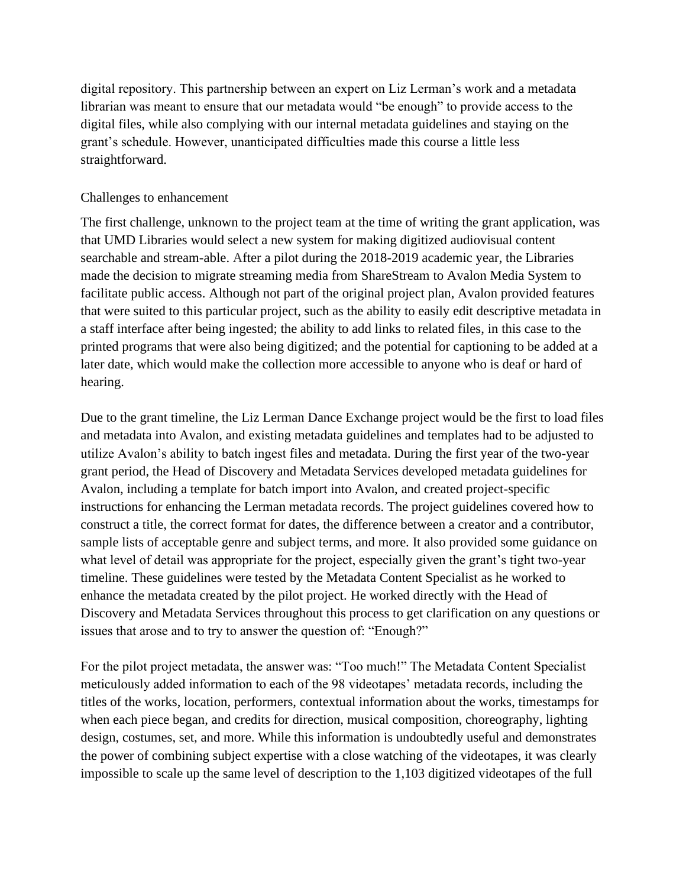digital repository. This partnership between an expert on Liz Lerman's work and a metadata librarian was meant to ensure that our metadata would "be enough" to provide access to the digital files, while also complying with our internal metadata guidelines and staying on the grant's schedule. However, unanticipated difficulties made this course a little less straightforward.

#### Challenges to enhancement

The first challenge, unknown to the project team at the time of writing the grant application, was that UMD Libraries would select a new system for making digitized audiovisual content searchable and stream-able. After a pilot during the 2018-2019 academic year, the Libraries made the decision to migrate streaming media from ShareStream to Avalon Media System to facilitate public access. Although not part of the original project plan, Avalon provided features that were suited to this particular project, such as the ability to easily edit descriptive metadata in a staff interface after being ingested; the ability to add links to related files, in this case to the printed programs that were also being digitized; and the potential for captioning to be added at a later date, which would make the collection more accessible to anyone who is deaf or hard of hearing.

Due to the grant timeline, the Liz Lerman Dance Exchange project would be the first to load files and metadata into Avalon, and existing metadata guidelines and templates had to be adjusted to utilize Avalon's ability to batch ingest files and metadata. During the first year of the two-year grant period, the Head of Discovery and Metadata Services developed metadata guidelines for Avalon, including a template for batch import into Avalon, and created project-specific instructions for enhancing the Lerman metadata records. The project guidelines covered how to construct a title, the correct format for dates, the difference between a creator and a contributor, sample lists of acceptable genre and subject terms, and more. It also provided some guidance on what level of detail was appropriate for the project, especially given the grant's tight two-year timeline. These guidelines were tested by the Metadata Content Specialist as he worked to enhance the metadata created by the pilot project. He worked directly with the Head of Discovery and Metadata Services throughout this process to get clarification on any questions or issues that arose and to try to answer the question of: "Enough?"

For the pilot project metadata, the answer was: "Too much!" The Metadata Content Specialist meticulously added information to each of the 98 videotapes' metadata records, including the titles of the works, location, performers, contextual information about the works, timestamps for when each piece began, and credits for direction, musical composition, choreography, lighting design, costumes, set, and more. While this information is undoubtedly useful and demonstrates the power of combining subject expertise with a close watching of the videotapes, it was clearly impossible to scale up the same level of description to the 1,103 digitized videotapes of the full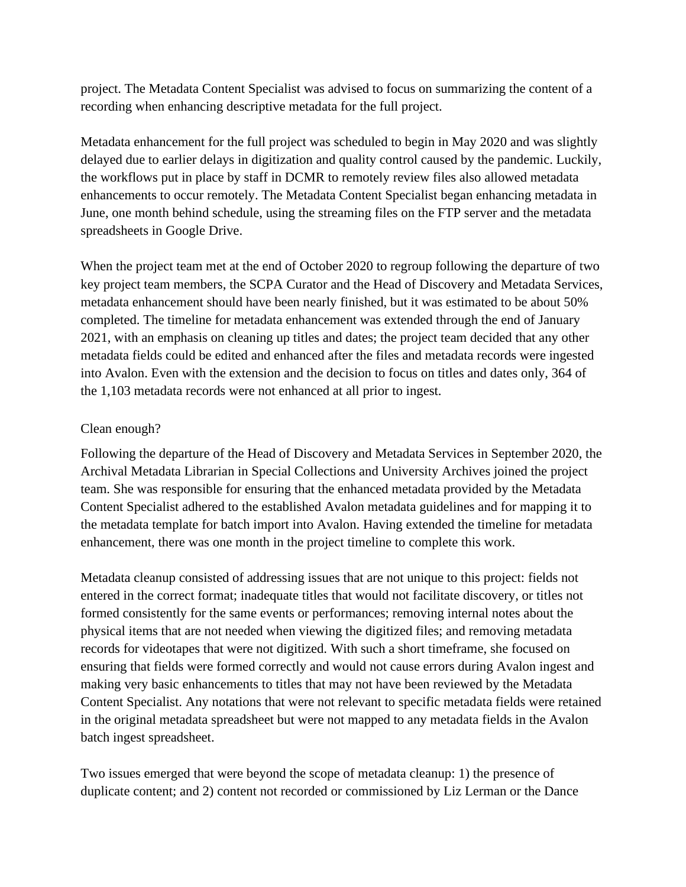project. The Metadata Content Specialist was advised to focus on summarizing the content of a recording when enhancing descriptive metadata for the full project.

Metadata enhancement for the full project was scheduled to begin in May 2020 and was slightly delayed due to earlier delays in digitization and quality control caused by the pandemic. Luckily, the workflows put in place by staff in DCMR to remotely review files also allowed metadata enhancements to occur remotely. The Metadata Content Specialist began enhancing metadata in June, one month behind schedule, using the streaming files on the FTP server and the metadata spreadsheets in Google Drive.

When the project team met at the end of October 2020 to regroup following the departure of two key project team members, the SCPA Curator and the Head of Discovery and Metadata Services, metadata enhancement should have been nearly finished, but it was estimated to be about 50% completed. The timeline for metadata enhancement was extended through the end of January 2021, with an emphasis on cleaning up titles and dates; the project team decided that any other metadata fields could be edited and enhanced after the files and metadata records were ingested into Avalon. Even with the extension and the decision to focus on titles and dates only, 364 of the 1,103 metadata records were not enhanced at all prior to ingest.

## Clean enough?

Following the departure of the Head of Discovery and Metadata Services in September 2020, the Archival Metadata Librarian in Special Collections and University Archives joined the project team. She was responsible for ensuring that the enhanced metadata provided by the Metadata Content Specialist adhered to the established Avalon metadata guidelines and for mapping it to the metadata template for batch import into Avalon. Having extended the timeline for metadata enhancement, there was one month in the project timeline to complete this work.

Metadata cleanup consisted of addressing issues that are not unique to this project: fields not entered in the correct format; inadequate titles that would not facilitate discovery, or titles not formed consistently for the same events or performances; removing internal notes about the physical items that are not needed when viewing the digitized files; and removing metadata records for videotapes that were not digitized. With such a short timeframe, she focused on ensuring that fields were formed correctly and would not cause errors during Avalon ingest and making very basic enhancements to titles that may not have been reviewed by the Metadata Content Specialist. Any notations that were not relevant to specific metadata fields were retained in the original metadata spreadsheet but were not mapped to any metadata fields in the Avalon batch ingest spreadsheet.

Two issues emerged that were beyond the scope of metadata cleanup: 1) the presence of duplicate content; and 2) content not recorded or commissioned by Liz Lerman or the Dance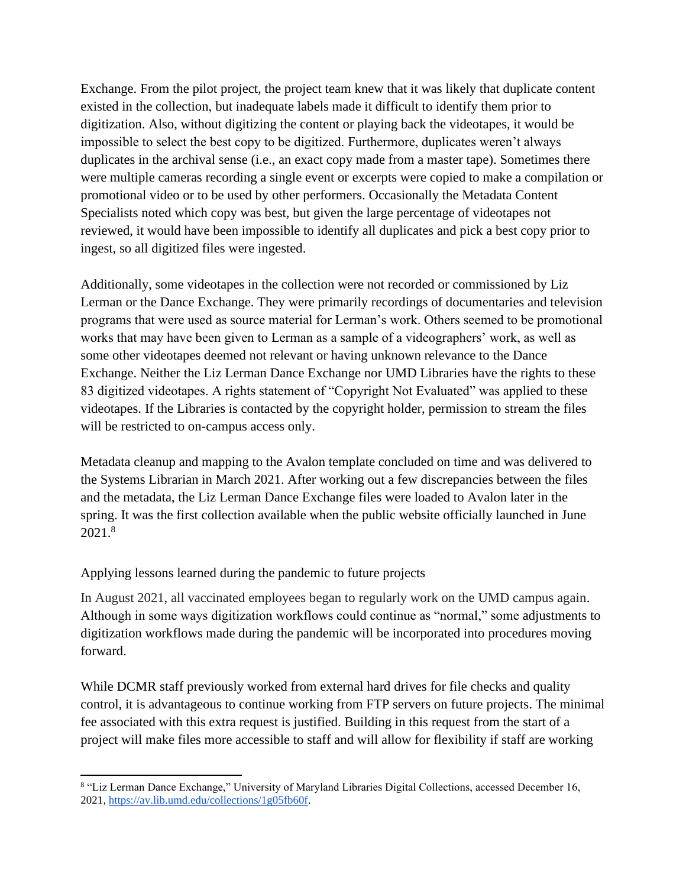Exchange. From the pilot project, the project team knew that it was likely that duplicate content existed in the collection, but inadequate labels made it difficult to identify them prior to digitization. Also, without digitizing the content or playing back the videotapes, it would be impossible to select the best copy to be digitized. Furthermore, duplicates weren't always duplicates in the archival sense (i.e., an exact copy made from a master tape). Sometimes there were multiple cameras recording a single event or excerpts were copied to make a compilation or promotional video or to be used by other performers. Occasionally the Metadata Content Specialists noted which copy was best, but given the large percentage of videotapes not reviewed, it would have been impossible to identify all duplicates and pick a best copy prior to ingest, so all digitized files were ingested.

Additionally, some videotapes in the collection were not recorded or commissioned by Liz Lerman or the Dance Exchange. They were primarily recordings of documentaries and television programs that were used as source material for Lerman's work. Others seemed to be promotional works that may have been given to Lerman as a sample of a videographers' work, as well as some other videotapes deemed not relevant or having unknown relevance to the Dance Exchange. Neither the Liz Lerman Dance Exchange nor UMD Libraries have the rights to these 83 digitized videotapes. A rights statement of "Copyright Not Evaluated" was applied to these videotapes. If the Libraries is contacted by the copyright holder, permission to stream the files will be restricted to on-campus access only.

Metadata cleanup and mapping to the Avalon template concluded on time and was delivered to the Systems Librarian in March 2021. After working out a few discrepancies between the files and the metadata, the Liz Lerman Dance Exchange files were loaded to Avalon later in the spring. It was the first collection available when the public website officially launched in June 2021.<sup>8</sup>

Applying lessons learned during the pandemic to future projects

In August 2021, all vaccinated employees began to regularly work on the UMD campus again. Although in some ways digitization workflows could continue as "normal," some adjustments to digitization workflows made during the pandemic will be incorporated into procedures moving forward.

While DCMR staff previously worked from external hard drives for file checks and quality control, it is advantageous to continue working from FTP servers on future projects. The minimal fee associated with this extra request is justified. Building in this request from the start of a project will make files more accessible to staff and will allow for flexibility if staff are working

<sup>8</sup> "Liz Lerman Dance Exchange," University of Maryland Libraries Digital Collections, accessed December 16, 2021, [https://av.lib.umd.edu/collections/1g05fb60f.](https://av.lib.umd.edu/collections/1g05fb60f)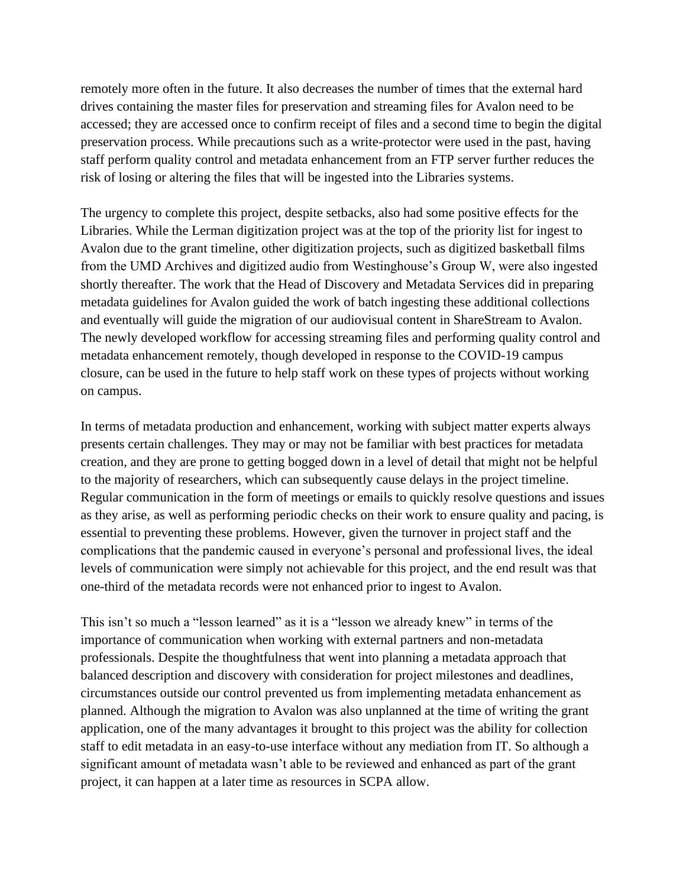remotely more often in the future. It also decreases the number of times that the external hard drives containing the master files for preservation and streaming files for Avalon need to be accessed; they are accessed once to confirm receipt of files and a second time to begin the digital preservation process. While precautions such as a write-protector were used in the past, having staff perform quality control and metadata enhancement from an FTP server further reduces the risk of losing or altering the files that will be ingested into the Libraries systems.

The urgency to complete this project, despite setbacks, also had some positive effects for the Libraries. While the Lerman digitization project was at the top of the priority list for ingest to Avalon due to the grant timeline, other digitization projects, such as digitized basketball films from the UMD Archives and digitized audio from Westinghouse's Group W, were also ingested shortly thereafter. The work that the Head of Discovery and Metadata Services did in preparing metadata guidelines for Avalon guided the work of batch ingesting these additional collections and eventually will guide the migration of our audiovisual content in ShareStream to Avalon. The newly developed workflow for accessing streaming files and performing quality control and metadata enhancement remotely, though developed in response to the COVID-19 campus closure, can be used in the future to help staff work on these types of projects without working on campus.

In terms of metadata production and enhancement, working with subject matter experts always presents certain challenges. They may or may not be familiar with best practices for metadata creation, and they are prone to getting bogged down in a level of detail that might not be helpful to the majority of researchers, which can subsequently cause delays in the project timeline. Regular communication in the form of meetings or emails to quickly resolve questions and issues as they arise, as well as performing periodic checks on their work to ensure quality and pacing, is essential to preventing these problems. However, given the turnover in project staff and the complications that the pandemic caused in everyone's personal and professional lives, the ideal levels of communication were simply not achievable for this project, and the end result was that one-third of the metadata records were not enhanced prior to ingest to Avalon.

This isn't so much a "lesson learned" as it is a "lesson we already knew" in terms of the importance of communication when working with external partners and non-metadata professionals. Despite the thoughtfulness that went into planning a metadata approach that balanced description and discovery with consideration for project milestones and deadlines, circumstances outside our control prevented us from implementing metadata enhancement as planned. Although the migration to Avalon was also unplanned at the time of writing the grant application, one of the many advantages it brought to this project was the ability for collection staff to edit metadata in an easy-to-use interface without any mediation from IT. So although a significant amount of metadata wasn't able to be reviewed and enhanced as part of the grant project, it can happen at a later time as resources in SCPA allow.